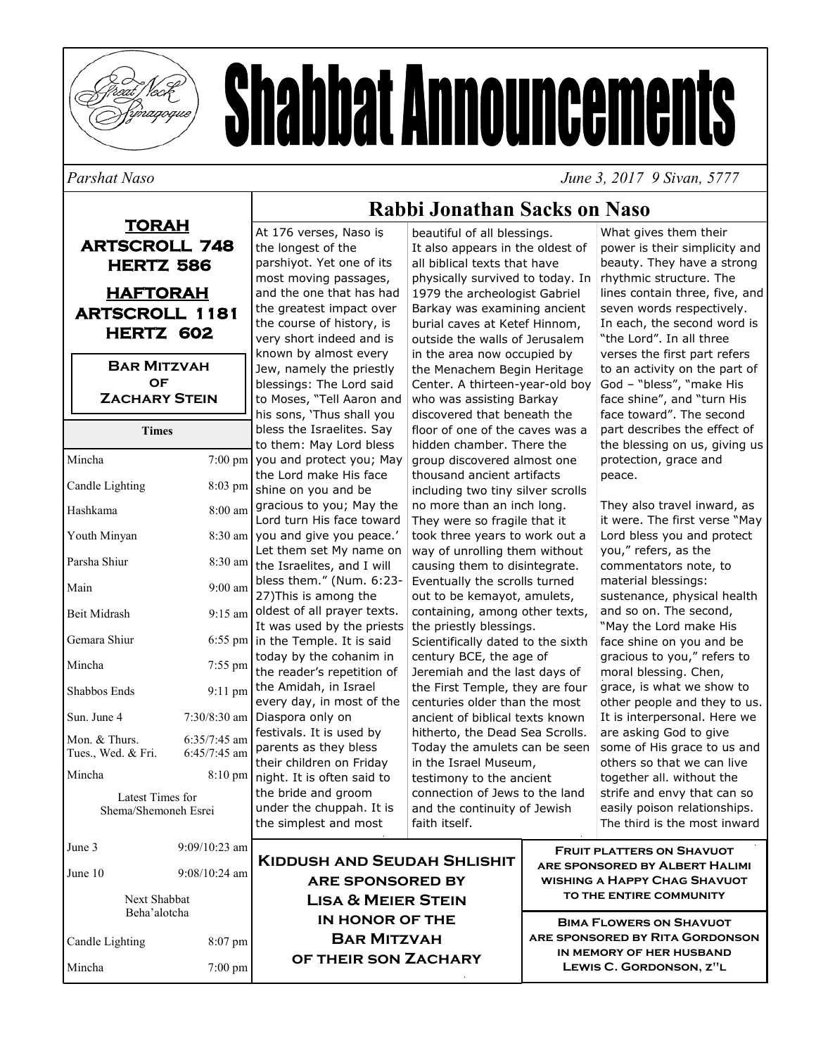

# **Shabbat Announcements**

*Parshat Naso June 3, 2017 9 Sivan, 5777* 

## **TORAH ARTSCROLL 748 HERTZ 586 HAFTORAH ARTSCROLL 1181 HERTZ 602**

**Bar Mitzvah of Zachary Stein** 

| Times                                    |                                  |
|------------------------------------------|----------------------------------|
| Mincha                                   | $7:00$ pm                        |
| Candle Lighting                          | 8:03 pm                          |
| Hashkama                                 | $8:00$ am                        |
| Youth Minyan                             | 8:30 am                          |
| Parsha Shiur                             | $8:30$ am                        |
| Main                                     | $9:00$ am                        |
| <b>Beit Midrash</b>                      | $9:15 \text{ am}$                |
| Gemara Shiur                             | 6:55 pm                          |
| Mincha                                   | 7:55 pm                          |
| Shabbos Ends                             | 9:11 pm                          |
| Sun. June 4                              | $7:30/8:30$ am                   |
| Mon. & Thurs.<br>Tues., Wed. & Fri.      | $6:35/7:45$ am<br>$6:45/7:45$ am |
| Mincha                                   | $8:10 \text{ pm}$                |
| Latest Times for<br>Shema/Shemoneh Esrei |                                  |
| June 3                                   | 9:09/10:23 am                    |
| June 10                                  | $9:08/10:24$ am                  |
| Next Shabbat<br>Beha'alotcha             |                                  |
| Candle Lighting                          | $8:07$ pm                        |

Mincha 7:00 pm

#### At 176 verses, Naso is the longest of the parshiyot. Yet one of its most moving passages, and the one that has had the greatest impact over the course of history, is very short indeed and is known by almost every Jew, namely the priestly blessings: The Lord said to Moses, "Tell Aaron and his sons, 'Thus shall you bless the Israelites. Say to them: May Lord bless you and protect you; May the Lord make His face shine on you and be gracious to you; May the Lord turn His face toward you and give you peace.' Let them set My name on the Israelites, and I will bless them." (Num. 6:23- 27)This is among the oldest of all prayer texts. It was used by the priests in the Temple. It is said today by the cohanim in the reader's repetition of the Amidah, in Israel every day, in most of the Diaspora only on festivals. It is used by parents as they bless their children on Friday night. It is often said to the bride and groom under the chuppah. It is the simplest and most **Rabbi Jonathan Sacks on Naso**

beautiful of all blessings. It also appears in the oldest of all biblical texts that have physically survived to today. In 1979 the archeologist Gabriel Barkay was examining ancient burial caves at Ketef Hinnom, outside the walls of Jerusalem in the area now occupied by the Menachem Begin Heritage Center. A thirteen-year-old boy who was assisting Barkay discovered that beneath the floor of one of the caves was a hidden chamber. There the group discovered almost one thousand ancient artifacts including two tiny silver scrolls no more than an inch long. They were so fragile that it took three years to work out a way of unrolling them without causing them to disintegrate. Eventually the scrolls turned out to be kemayot, amulets, containing, among other texts, the priestly blessings. Scientifically dated to the sixth century BCE, the age of Jeremiah and the last days of the First Temple, they are four

centuries older than the most ancient of biblical texts known hitherto, the Dead Sea Scrolls.

Today the amulets can be seen in the Israel Museum, testimony to the ancient connection of Jews to the land and the continuity of Jewish faith itself.

What gives them their power is their simplicity and beauty. They have a strong rhythmic structure. The lines contain three, five, and seven words respectively. In each, the second word is "the Lord". In all three verses the first part refers to an activity on the part of God – "bless", "make His face shine", and "turn His face toward". The second part describes the effect of the blessing on us, giving us protection, grace and peace.

They also travel inward, as it were. The first verse "May Lord bless you and protect you," refers, as the commentators note, to material blessings: sustenance, physical health and so on. The second, "May the Lord make His face shine on you and be gracious to you," refers to moral blessing. Chen, grace, is what we show to other people and they to us. It is interpersonal. Here we are asking God to give some of His grace to us and others so that we can live together all. without the strife and envy that can so easily poison relationships. The third is the most inward

**Kiddush and Seudah Shlishit are sponsored by Lisa & Meier Stein in honor of the Bar Mitzvah of their son Zachary** 

**Fruit platters on Shavuot are sponsored by Albert Halimi wishing a Happy Chag Shavuot to the entire community** 

**Bima Flowers on Shavuot are sponsored by Rita Gordonson in memory of her husband Lewis C. Gordonson, z"l**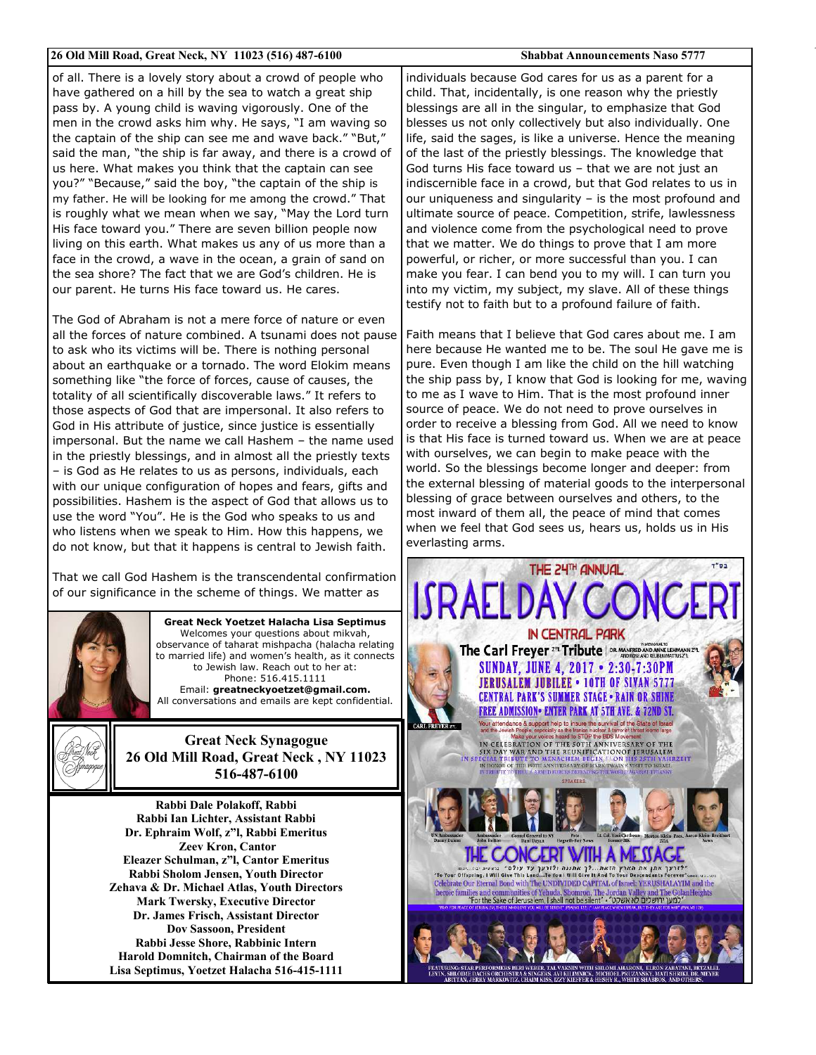#### **26 Old Mill Road, Great Neck, NY 11023 (516) 487-6100 Shabbat Announcements Naso 5777**

of all. There is a lovely story about a crowd of people who have gathered on a hill by the sea to watch a great ship pass by. A young child is waving vigorously. One of the men in the crowd asks him why. He says, "I am waving so the captain of the ship can see me and wave back." "But," said the man, "the ship is far away, and there is a crowd of us here. What makes you think that the captain can see you?" "Because," said the boy, "the captain of the ship is my father. He will be looking for me among the crowd." That is roughly what we mean when we say, "May the Lord turn His face toward you." There are seven billion people now living on this earth. What makes us any of us more than a face in the crowd, a wave in the ocean, a grain of sand on the sea shore? The fact that we are God's children. He is our parent. He turns His face toward us. He cares.

The God of Abraham is not a mere force of nature or even all the forces of nature combined. A tsunami does not pause to ask who its victims will be. There is nothing personal about an earthquake or a tornado. The word Elokim means something like "the force of forces, cause of causes, the totality of all scientifically discoverable laws." It refers to those aspects of God that are impersonal. It also refers to God in His attribute of justice, since justice is essentially impersonal. But the name we call Hashem – the name used in the priestly blessings, and in almost all the priestly texts – is God as He relates to us as persons, individuals, each with our unique configuration of hopes and fears, gifts and possibilities. Hashem is the aspect of God that allows us to use the word "You". He is the God who speaks to us and who listens when we speak to Him. How this happens, we do not know, but that it happens is central to Jewish faith.

That we call God Hashem is the transcendental confirmation of our significance in the scheme of things. We matter as



**Great Neck Yoetzet Halacha Lisa Septimus**  Welcomes your questions about mikvah, observance of taharat mishpacha (halacha relating to married life) and women's health, as it connects to Jewish law. Reach out to her at: Phone: 516.415.1111 Email: **greatneckyoetzet@gmail.com.**  All conversations and emails are kept confidential.



**Great Neck Synagogue 26 Old Mill Road, Great Neck , NY 11023 516-487-6100** 

**Rabbi Dale Polakoff, Rabbi Rabbi Ian Lichter, Assistant Rabbi Dr. Ephraim Wolf, z"l, Rabbi Emeritus Zeev Kron, Cantor Eleazer Schulman, z"l, Cantor Emeritus Rabbi Sholom Jensen, Youth Director Zehava & Dr. Michael Atlas, Youth Directors Mark Twersky, Executive Director Dr. James Frisch, Assistant Director Dov Sassoon, President Rabbi Jesse Shore, Rabbinic Intern Harold Domnitch, Chairman of the Board Lisa Septimus, Yoetzet Halacha 516-415-1111** 

individuals because God cares for us as a parent for a child. That, incidentally, is one reason why the priestly blessings are all in the singular, to emphasize that God blesses us not only collectively but also individually. One life, said the sages, is like a universe. Hence the meaning of the last of the priestly blessings. The knowledge that God turns His face toward us – that we are not just an indiscernible face in a crowd, but that God relates to us in our uniqueness and singularity – is the most profound and ultimate source of peace. Competition, strife, lawlessness and violence come from the psychological need to prove that we matter. We do things to prove that I am more powerful, or richer, or more successful than you. I can make you fear. I can bend you to my will. I can turn you into my victim, my subject, my slave. All of these things testify not to faith but to a profound failure of faith.

Faith means that I believe that God cares about me. I am here because He wanted me to be. The soul He gave me is pure. Even though I am like the child on the hill watching the ship pass by, I know that God is looking for me, waving to me as I wave to Him. That is the most profound inner source of peace. We do not need to prove ourselves in order to receive a blessing from God. All we need to know is that His face is turned toward us. When we are at peace with ourselves, we can begin to make peace with the world. So the blessings become longer and deeper: from the external blessing of material goods to the interpersonal blessing of grace between ourselves and others, to the most inward of them all, the peace of mind that comes when we feel that God sees us, hears us, holds us in His everlasting arms.

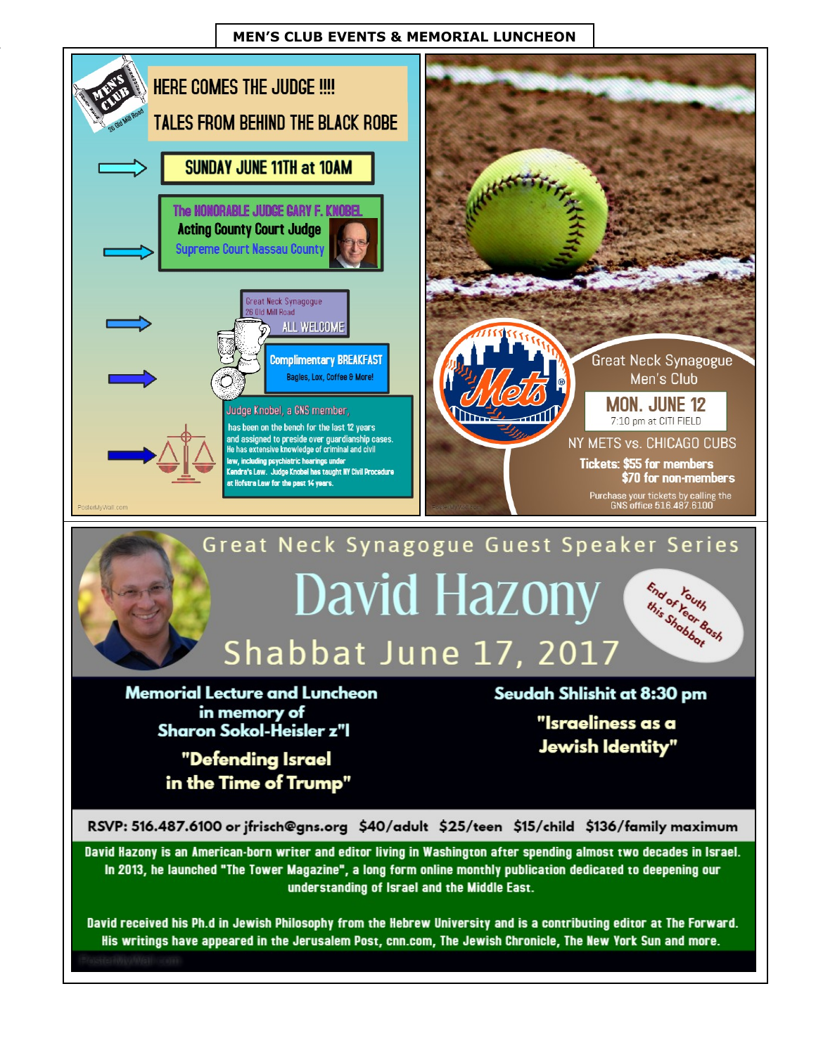### **MEN'S CLUB EVENTS & MEMORIAL LUNCHEON**



David received his Ph.d in Jewish Philosophy from the Hebrew University and is a contributing editor at The Forward. His writings have appeared in the Jerusalem Post, cnn.com, The Jewish Chronicle, The New York Sun and more.